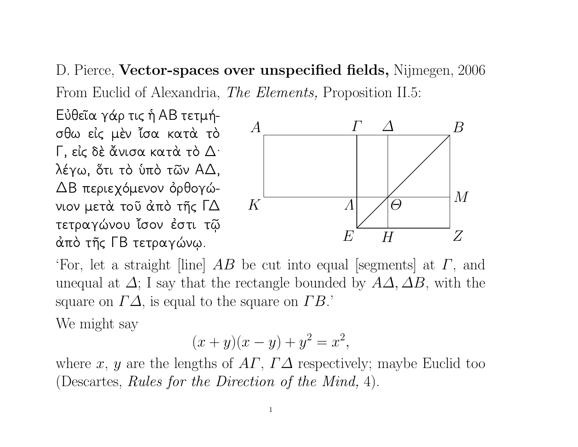D. Pierce, Vector-spaces over unspecified fields, Nijmegen, 2006 From Euclid of Alexandria, *The Elements*, Proposition II.5:

Εὐθεῖα γάρ τις ή ΑΒ τετμήσθω είς μέν ίσα κατά τό Γ, είς δέ άνισα κατά τό Δ. λέγω, ὅτι τὸ ὑπὸ τῶν ΑΔ, ΔΒ περιεχόμενον όρθογώνιον μετά τοῦ ἀπὸ τῆς ΓΔ τετραγώνου ἴσον ἐστι τῷ άπό της ΓΒ τετραγώνω.



'For, let a straight [line]  $AB$  be cut into equal [segments] at  $\Gamma$ , and unequal at  $\Delta$ ; I say that the rectangle bounded by  $A\Delta$ ,  $\Delta B$ , with the square on  $\Gamma\Delta$ , is equal to the square on  $\Gamma B$ .

We might say

$$
(x + y)(x - y) + y^2 = x^2,
$$

where x, y are the lengths of  $AT$ ,  $\Gamma\Delta$  respectively; maybe Euclid too (Descartes, *Rules for the Direction of the Mind, 4*).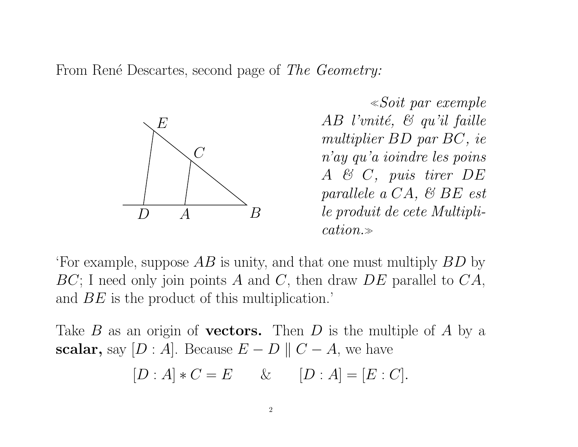From René Descartes, second page of The Geometry:



¿Soit par exemple AB l'unité,  $\mathcal{C}$  qu'il faille multiplier BD par BC, ie <sup>n</sup>'ay qu'a ioindre les poins A & C, puis tirer DE parallele <sup>a</sup> CA, & BE est le produit de cete Multipli $cation. \gg$ 

'For example, suppose  $AB$  is unity, and that one must multiply  $BD$  by  $BC$ ; I need only join points A and C, then draw  $DE$  parallel to  $CA$ , and BE is the product of this multiplication.'

Take  $B$  as an origin of **vectors.** Then  $D$  is the multiple of  $A$  by a scalar, say  $[D : A]$ . Because  $E - D \parallel C - A$ , we have

$$
[D : A] * C = E \qquad \& \qquad [D : A] = [E : C].
$$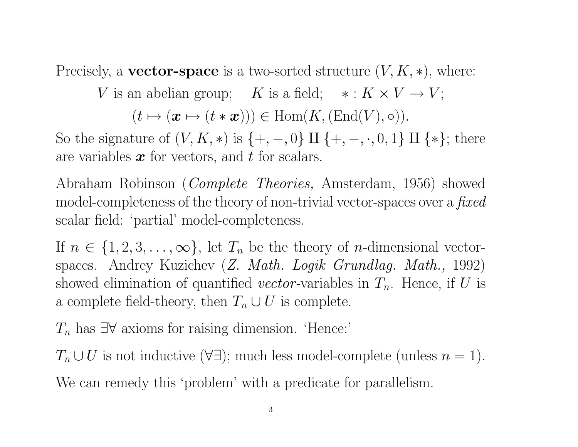Precisely, a **vector-space** is a two-sorted structure  $(V, K, *)$ , where:

V is an abelian group; K is a field;  $* : K \times V \to V$ ;

 $(t \mapsto (\boldsymbol{x} \mapsto (t * \boldsymbol{x}))) \in \text{Hom}(K,(\text{End}(V), \circ)).$ 

So the signature of  $(V, K, *)$  is  $\{+, -, 0\} \amalg \{+, -, \cdot, 0, 1\} \amalg \{*\}$ ; there are variables  $\boldsymbol{x}$  for vectors, and  $t$  for scalars.

Abraham Robinson (Complete Theories, Amsterdam, 1956) showed model-completeness of the theory of non-trivial vector-spaces over a *fixed* scalar field: 'partial' model-completeness.

If  $n \in \{1, 2, 3, \ldots, \infty\}$ , let  $T_n$  be the theory of *n*-dimensional vectorspaces. Andrey Kuzichev (Z. Math. Logik Grundlag. Math., 1992) showed elimination of quantified vector-variables in  $T_n$ . Hence, if U is a complete field-theory, then  $T_n \cup U$  is complete.

 $T_n$  has  $\exists \forall$  axioms for raising dimension. 'Hence:'

 $T_n \cup U$  is not inductive  $(\forall \exists)$ ; much less model-complete (unless  $n = 1$ ). We can remedy this 'problem' with a predicate for parallelism.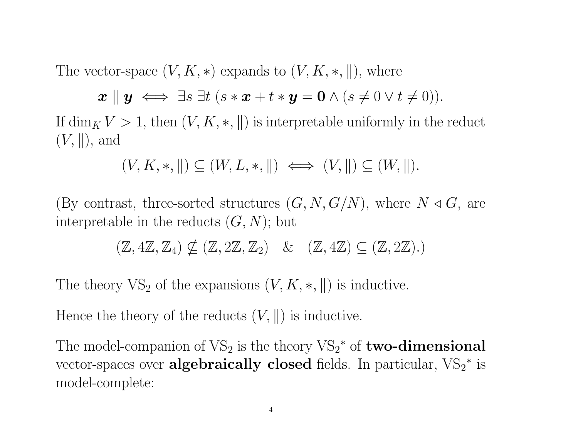The vector-space  $(V, K, *)$  expands to  $(V, K, *, \|)$ , where

$$
\boldsymbol{x} \parallel \boldsymbol{y} \iff \exists s \; \exists t \; (s * \boldsymbol{x} + t * \boldsymbol{y} = \boldsymbol{0} \land (s \neq 0 \lor t \neq 0)).
$$

If  $\dim_K V > 1$ , then  $(V, K, *, \|)$  is interpretable uniformly in the reduct  $(V, \parallel)$ , and

$$
(V, K, *, \|) \subseteq (W, L, *, \|) \iff (V, \|) \subseteq (W, \|).
$$

(By contrast, three-sorted structures  $(G, N, G/N)$ , where  $N \triangleleft G$ , are interpretable in the reducts  $(G, N)$ ; but

$$
(\mathbb{Z}, 4\mathbb{Z}, \mathbb{Z}_4) \nsubseteq (\mathbb{Z}, 2\mathbb{Z}, \mathbb{Z}_2) \quad \& \quad (\mathbb{Z}, 4\mathbb{Z}) \subseteq (\mathbb{Z}, 2\mathbb{Z}).
$$

The theory  $VS_2$  of the expansions  $(V, K, *, \|)$  is inductive.

Hence the theory of the reducts  $(V, \parallel)$  is inductive.

The model-companion of  $VS_2$  is the theory  $VS_2^*$  of **two-dimensional** vector-spaces over **algebraically closed** fields. In particular,  $VS_2^*$  is model-complete: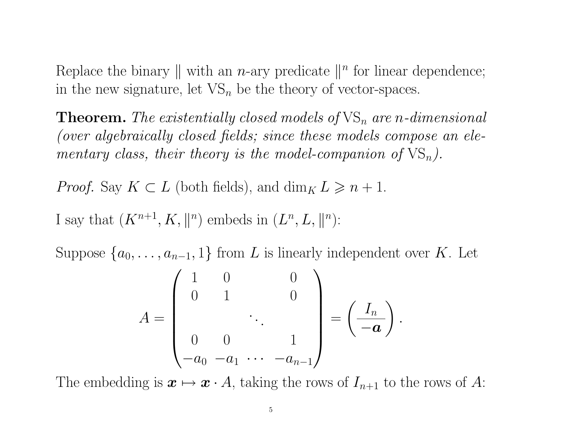Replace the binary  $\parallel$  with an *n*-ary predicate  $\parallel$ <sup>*n*</sup> for linear dependence; in the new signature, let  $VS_n$  be the theory of vector-spaces.

**Theorem.** The existentially closed models of  $VS_n$  are n-dimensional (over algebraically closed fields; since these models compose an elementary class, their theory is the model-companion of  $VS_n$ ).

*Proof.* Say  $K \subset L$  (both fields), and  $\dim_K L \geq n+1$ .

I say that  $(K^{n+1}, K, \mathbb{R}^n)$  embeds in  $(L^n, L, \mathbb{R}^n)$ :

Suppose  $\{a_0, \ldots, a_{n-1}, 1\}$  from L is linearly independent over K. Let

$$
A = \begin{pmatrix} 1 & 0 & 0 \\ 0 & 1 & 0 \\ & & \ddots & \\ 0 & 0 & 1 \\ -a_0 & -a_1 & \cdots & -a_{n-1} \end{pmatrix} = \left(\frac{I_n}{-a}\right).
$$

The embedding is  $x \mapsto x \cdot A$ , taking the rows of  $I_{n+1}$  to the rows of A: